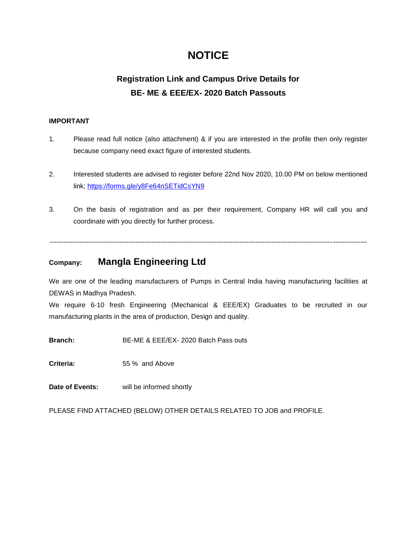# **NOTICE**

## **Registration Link and Campus Drive Details for BE- ME & EEE/EX- 2020 Batch Passouts**

#### **IMPORTANT**

- 1. Please read full notice (also attachment) & if you are interested in the profile then only register because company need exact figure of interested students.
- 2. Interested students are advised to register before 22nd Nov 2020, 10.00 PM on below mentioned link; https://forms.gle/y8Fe64nSETidCsYN9
- 3. On the basis of registration and as per their requirement, Company HR will call you and coordinate with you directly for further process.

--------------------------------------------------------------------------------------------------------------------------------------------

## **Company: Mangla Engineering Ltd**

We are one of the leading manufacturers of Pumps in Central India having manufacturing facilities at DEWAS in Madhya Pradesh.

We require 6-10 fresh Engineering (Mechanical & EEE/EX) Graduates to be recruited in our manufacturing plants in the area of production, Design and quality.

**Branch:** BE-ME & EEE/EX- 2020 Batch Pass outs

**Criteria:** 55 % and Above

**Date of Events:** will be informed shortly

PLEASE FIND ATTACHED (BELOW) OTHER DETAILS RELATED TO JOB and PROFILE.